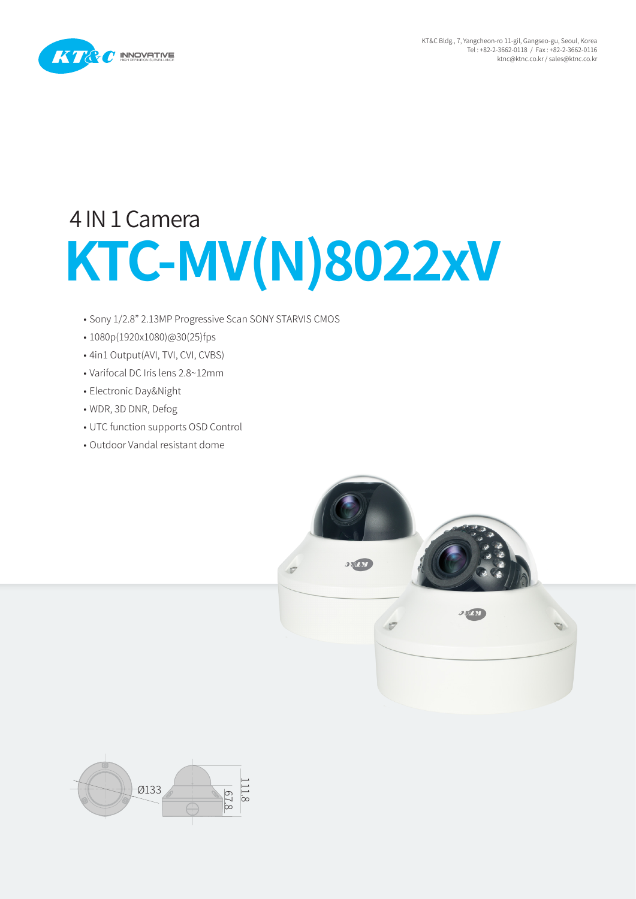

## **KTC-MV(N)8022xV** 4 IN 1 Camera

- Sony 1/2.8" 2.13MP Progressive Scan SONY STARVIS CMOS
- 1080p(1920x1080)@30(25)fps
- 4in1 Output(AVI, TVI, CVI, CVBS)
- Varifocal DC Iris lens 2.8~12mm
- Electronic Day&Night
- WDR, 3D DNR, Defog
- UTC function supports OSD Control
- Outdoor Vandal resistant dome